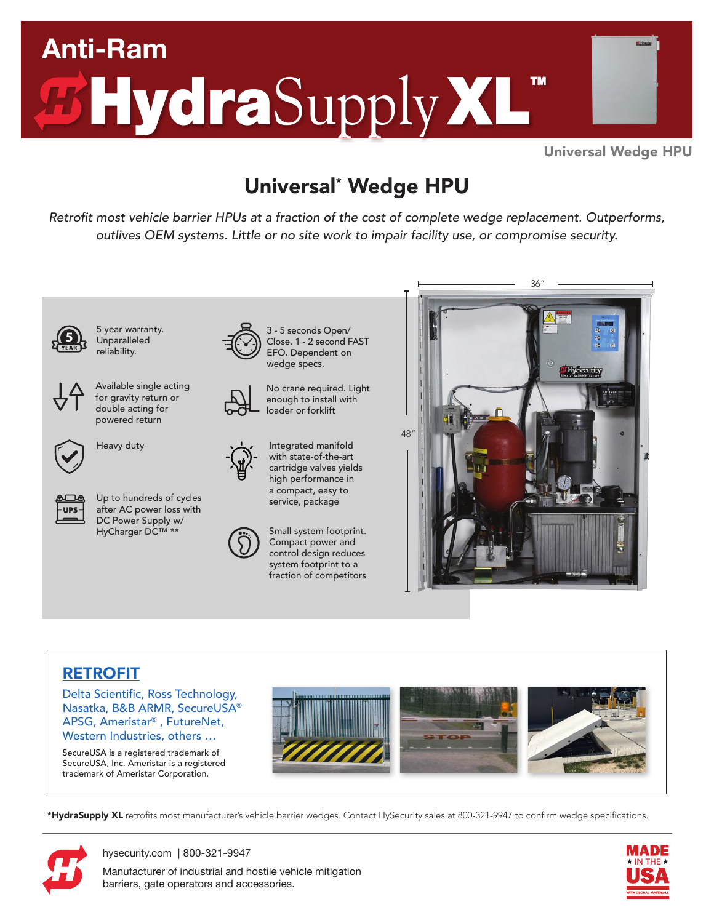

Universal Wedge HPU

## Universal\* Wedge HPU

Retrofit most vehicle barrier HPUs at a fraction of the cost of complete wedge replacement. Outperforms, outlives OEM systems. Little or no site work to impair facility use, or compromise security.



5 year warranty. Unparalleled reliability.



Available single acting for gravity return or double acting for powered return





Up to hundreds of cycles after AC power loss with DC Power Supply w/ HyCharger DC™ \*\*



Heavy duty **Integrated manifold** with state-of-the-art cartridge valves yields high performance in a compact, easy to

No crane required. Light enough to install with loader or forklift

3 - 5 seconds Open/ Close. 1 - 2 second FAST EFO. Dependent on wedge specs.

Small system footprint. Compact power and control design reduces system footprint to a fraction of competitors

service, package



### RETROFIT

Delta Scientific, Ross Technology, Nasatka, B&B ARMR, SecureUSA® APSG, Ameristar® , FutureNet, Western Industries, others …

SecureUSA is a registered trademark of SecureUSA, Inc. Ameristar is a registered trademark of Ameristar Corporation.



\*HydraSupply XL retrofits most manufacturer's vehicle barrier wedges. Contact HySecurity sales at 800-321-9947 to confirm wedge specifications.



[hysecurity.com](https://hysecurity.com) | 800-321-9947 Manufacturer of industrial and hostile vehicle mitigation barriers, gate operators and accessories.